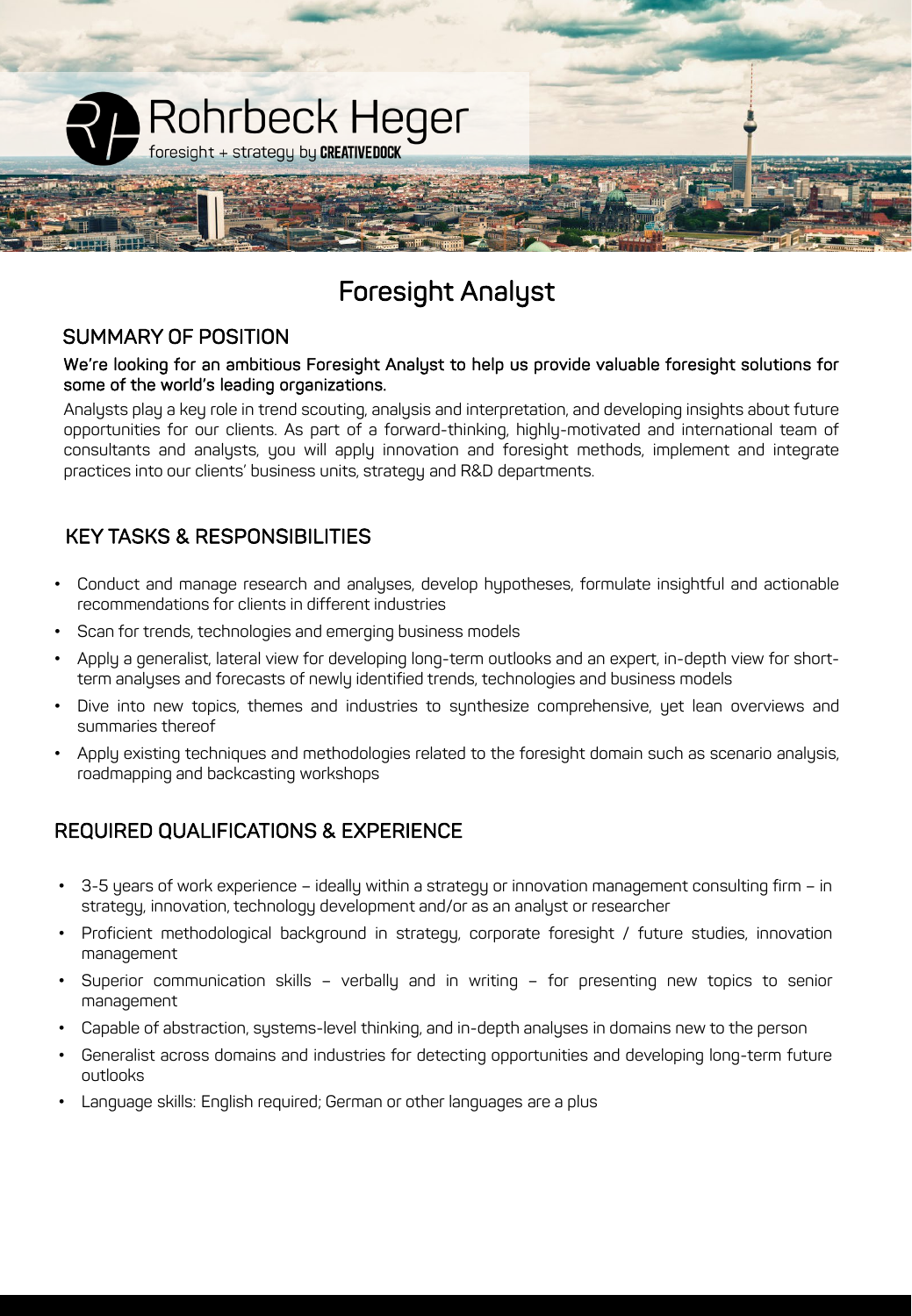

# Foresight Analyst

#### SUMMARY OF POSITION

#### We're looking for an ambitious Foresight Analyst to help us provide valuable foresight solutions for some of the world's leading organizations.

Analysts play a key role in trend scouting, analysis and interpretation, and developing insights about future opportunities for our clients. As part of a forward-thinking, highly-motivated and international team of consultants and analysts, you will apply innovation and foresight methods, implement and integrate practices into our clients' business units, strategy and R&D departments.

## KEY TASKS & RESPONSIBILITIES

- Conduct and manage research and analyses, develop hypotheses, formulate insightful and actionable recommendations for clients in different industries
- Scan for trends, technologies and emerging business models
- Apply a generalist, lateral view for developing long-term outlooks and an expert, in-depth view for shortterm analyses and forecasts of newly identified trends, technologies and business models
- Dive into new topics, themes and industries to synthesize comprehensive, yet lean overviews and summaries thereof
- Apply existing techniques and methodologies related to the foresight domain such as scenario analysis, roadmapping and backcasting workshops

### REQUIRED QUALIFICATIONS & EXPERIENCE

- 3-5 years of work experience ideally within a strategy or innovation management consulting firm in strategy, innovation, technology development and/or as an analyst or researcher
- Proficient methodological background in strategy, corporate foresight / future studies, innovation management
- Superior communication skills verbally and in writing for presenting new topics to senior management
- Capable of abstraction, systems-level thinking, and in-depth analyses in domains new to the person
- Generalist across domains and industries for detecting opportunities and developing long-term future outlooks
- Language skills: English required; German or other languages are a plus